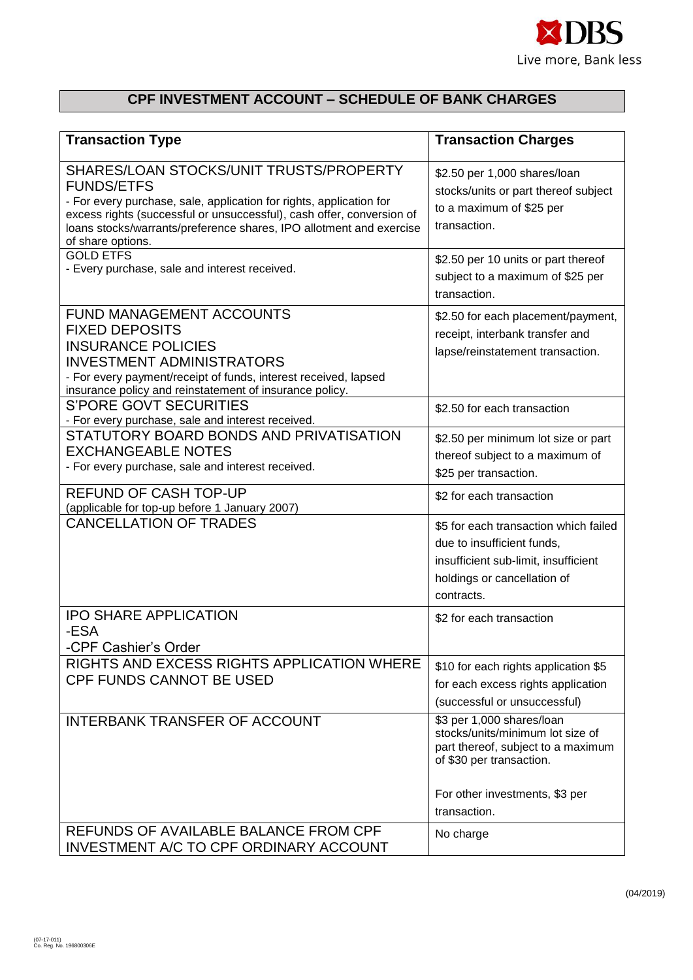

## **CPF INVESTMENT ACCOUNT – SCHEDULE OF BANK CHARGES**

| <b>Transaction Type</b>                                                                                                                                                                                                                                                                                  | <b>Transaction Charges</b>                                                                                                                                                        |
|----------------------------------------------------------------------------------------------------------------------------------------------------------------------------------------------------------------------------------------------------------------------------------------------------------|-----------------------------------------------------------------------------------------------------------------------------------------------------------------------------------|
| SHARES/LOAN STOCKS/UNIT TRUSTS/PROPERTY<br><b>FUNDS/ETFS</b><br>- For every purchase, sale, application for rights, application for<br>excess rights (successful or unsuccessful), cash offer, conversion of<br>loans stocks/warrants/preference shares, IPO allotment and exercise<br>of share options. | \$2.50 per 1,000 shares/loan<br>stocks/units or part thereof subject<br>to a maximum of \$25 per<br>transaction.                                                                  |
| <b>GOLD ETFS</b><br>- Every purchase, sale and interest received.                                                                                                                                                                                                                                        | \$2.50 per 10 units or part thereof<br>subject to a maximum of \$25 per<br>transaction.                                                                                           |
| FUND MANAGEMENT ACCOUNTS<br><b>FIXED DEPOSITS</b><br><b>INSURANCE POLICIES</b><br><b>INVESTMENT ADMINISTRATORS</b><br>- For every payment/receipt of funds, interest received, lapsed<br>insurance policy and reinstatement of insurance policy.                                                         | \$2.50 for each placement/payment,<br>receipt, interbank transfer and<br>lapse/reinstatement transaction.                                                                         |
| <b>S'PORE GOVT SECURITIES</b><br>- For every purchase, sale and interest received.                                                                                                                                                                                                                       | \$2.50 for each transaction                                                                                                                                                       |
| STATUTORY BOARD BONDS AND PRIVATISATION<br><b>EXCHANGEABLE NOTES</b><br>- For every purchase, sale and interest received.                                                                                                                                                                                | \$2.50 per minimum lot size or part<br>thereof subject to a maximum of<br>\$25 per transaction.                                                                                   |
| <b>REFUND OF CASH TOP-UP</b><br>(applicable for top-up before 1 January 2007)                                                                                                                                                                                                                            | \$2 for each transaction                                                                                                                                                          |
| <b>CANCELLATION OF TRADES</b>                                                                                                                                                                                                                                                                            | \$5 for each transaction which failed<br>due to insufficient funds,<br>insufficient sub-limit, insufficient<br>holdings or cancellation of<br>contracts.                          |
| <b>IPO SHARE APPLICATION</b><br>-ESA<br>-CPF Cashier's Order                                                                                                                                                                                                                                             | \$2 for each transaction                                                                                                                                                          |
| RIGHTS AND EXCESS RIGHTS APPLICATION WHERE<br><b>CPF FUNDS CANNOT BE USED</b>                                                                                                                                                                                                                            | \$10 for each rights application \$5<br>for each excess rights application<br>(successful or unsuccessful)                                                                        |
| <b>INTERBANK TRANSFER OF ACCOUNT</b>                                                                                                                                                                                                                                                                     | \$3 per 1,000 shares/loan<br>stocks/units/minimum lot size of<br>part thereof, subject to a maximum<br>of \$30 per transaction.<br>For other investments, \$3 per<br>transaction. |
| REFUNDS OF AVAILABLE BALANCE FROM CPF<br>INVESTMENT A/C TO CPF ORDINARY ACCOUNT                                                                                                                                                                                                                          | No charge                                                                                                                                                                         |